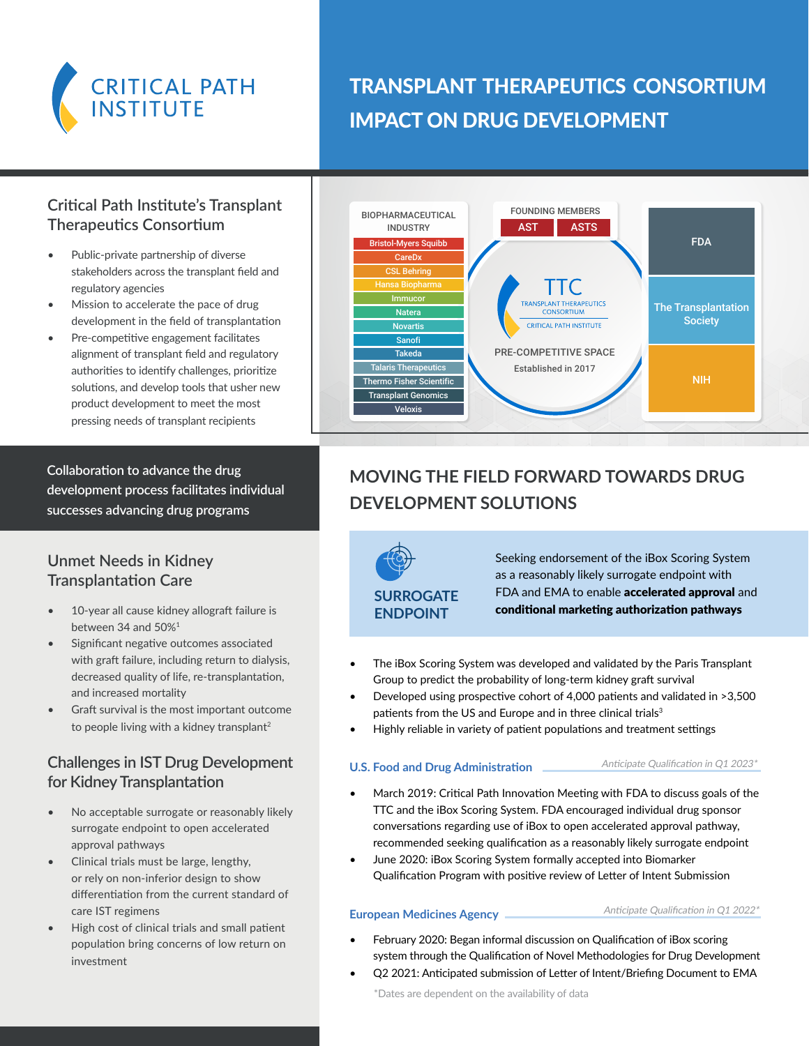

## TRANSPLANT THERAPEUTICS CONSORTIUM IMPACT ON DRUG DEVELOPMENT

## **Critical Path Institute's Transplant Therapeutics Consortium**

- Public-private partnership of diverse stakeholders across the transplant field and regulatory agencies
- Mission to accelerate the pace of drug development in the field of transplantation
- Pre-competitive engagement facilitates alignment of transplant field and regulatory authorities to identify challenges, prioritize solutions, and develop tools that usher new product development to meet the most pressing needs of transplant recipients

**Collaboration to advance the drug development process facilitates individual successes advancing drug programs**

## **Unmet Needs in Kidney Transplantation Care**

- 10-year all cause kidney allograft failure is between 34 and 50%1
- Significant negative outcomes associated with graft failure, including return to dialysis, decreased quality of life, re-transplantation, and increased mortality
- Graft survival is the most important outcome to people living with a kidney transplant<sup>2</sup>

## **Challenges in IST Drug Development for Kidney Transplantation**

- No acceptable surrogate or reasonably likely surrogate endpoint to open accelerated approval pathways
- Clinical trials must be large, lengthy, or rely on non-inferior design to show differentiation from the current standard of care IST regimens
- High cost of clinical trials and small patient population bring concerns of low return on investment



## **MOVING THE FIELD FORWARD TOWARDS DRUG DEVELOPMENT SOLUTIONS**

**SURROGATE ENDPOINT**

Seeking endorsement of the iBox Scoring System as a reasonably likely surrogate endpoint with FDA and EMA to enable **accelerated approval** and conditional marketing authorization pathways

- The iBox Scoring System was developed and validated by the Paris Transplant Group to predict the probability of long-term kidney graft survival
- Developed using prospective cohort of 4,000 patients and validated in >3,500 patients from the US and Europe and in three clinical trials<sup>3</sup>
- Highly reliable in variety of patient populations and treatment settings

#### **U.S. Food and Drug Administration**

#### Anticipate Qualification in Q1 2023\*

- March 2019: Critical Path Innovation Meeting with FDA to discuss goals of the TTC and the iBox Scoring System. FDA encouraged individual drug sponsor conversations regarding use of iBox to open accelerated approval pathway, recommended seeking qualification as a reasonably likely surrogate endpoint
- June 2020: iBox Scoring System formally accepted into Biomarker Qualification Program with positive review of Letter of Intent Submission

#### **European Medicines Agency**

#### Anticipate Qualification in Q1 2022\*

- February 2020: Began informal discussion on Qualification of iBox scoring system through the Qualification of Novel Methodologies for Drug Development
- Q2 2021: Anticipated submission of Letter of Intent/Briefing Document to EMA